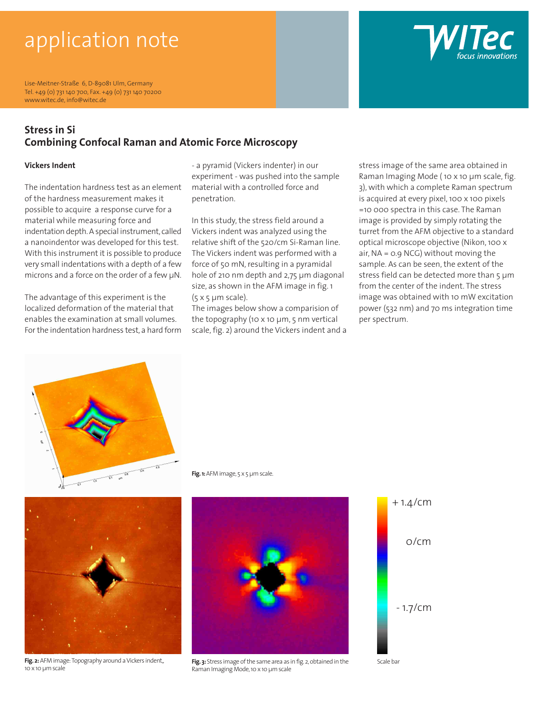# application note

Lise-Meitner-Straße 6, D-89081 Ulm, Germany Tel. +49 (0) 731 140 700, Fax. +49 (0) 731 140 70200 www.witec.de, info@witec.de

### **Stress in Si Combining Confocal Raman and Atomic Force Microscopy**

#### **Vickers Indent**

The indentation hardness test as an element of the hardness measurement makes it possible to acquire a response curve for a material while measuring force and indentation depth. A special instrument, called a nanoindentor was developed for this test. With this instrument it is possible to produce very small indentations with a depth of a few microns and a force on the order of a few µN.

The advantage of this experiment is the localized deformation of the material that enables the examination at small volumes. For the indentation hardness test, a hard form - a pyramid (Vickers indenter) in our experiment - was pushed into the sample material with a controlled force and penetration.

In this study, the stress field around a Vickers indent was analyzed using the relative shift of the 520/cm Si-Raman line. The Vickers indent was performed with a force of 50 mN, resulting in a pyramidal hole of 210 nm depth and 2,75 µm diagonal size, as shown in the AFM image in fig. 1  $(5 \times 5 \mu m \text{ scale}).$ 

The images below show a comparision of the topography (10 x 10 µm, 5 nm vertical scale, fig. 2) around the Vickers indent and a stress image of the same area obtained in Raman Imaging Mode ( 10 x 10 µm scale, fig. 3), with which a complete Raman spectrum is acquired at every pixel, 100 x 100 pixels =10 000 spectra in this case. The Raman image is provided by simply rotating the turret from the AFM objective to a standard optical microscope objective (Nikon, 100 x air, NA = 0.9 NCG) without moving the sample. As can be seen, the extent of the stress field can be detected more than 5 um from the center of the indent. The stress image was obtained with 10 mW excitation power (532 nm) and 70 ms integration time per spectrum.



**Fig. 1:** AFM image, 5 x 5 µm scale.



**Fig. 3:** Stress image of the same area as in fig. 2, obtained in the Raman Imaging Mode, 10 x 10 µm scale







Fig. 2: AFM image: Topography around a Vickers indent, 10 x 10 µm scale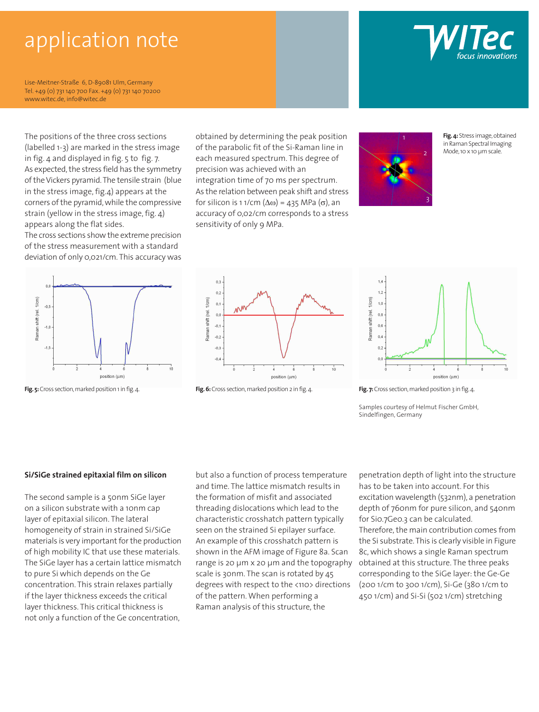## application note

Lise-Meitner-Straße 6, D-89081 Ulm, Germany Tel. +49 (0) 731 140 700 Fax. +49 (0) 731 140 70200 www.witec.de, info@witec.de

The positions of the three cross sections (labelled 1-3) are marked in the stress image in fig. 4 and displayed in fig. 5 to fig. 7. As expected, the stress field has the symmetry of the Vickers pyramid. The tensile strain (blue in the stress image, fig.4) appears at the corners of the pyramid, while the compressive strain (yellow in the stress image, fig. 4) appears along the flat sides.

The cross sections show the extreme precision of the stress measurement with a standard deviation of only 0,021/cm. This accuracy was



obtained by determining the peak position



**Fig. 4:** Stress image, obtained in Raman Spectral Imaging Mode, 10 x 10 µm scale.











Samples courtesy of Helmut Fischer GmbH, Sindelfingen, Germany

#### **Si/SiGe strained epitaxial film on silicon**

**Layer thickness. This critical thickness is a large state of the set of the set of the set of the set of the s** The second sample is a 50nm SiGe layer on a silicon substrate with a 10nm cap layer of epitaxial silicon. The lateral homogeneity of strain in strained Si/SiGe materials is very important for the production of high mobility IC that use these materials. The SiGe layer has a certain lattice mismatch to pure Si which depends on the Ge concentration. This strain relaxes partially if the layer thickness exceeds the critical not only a function of the Ge concentration,

but also a function of process temperature and time. The lattice mismatch results in the formation of misfit and associated threading dislocations which lead to the characteristic crosshatch pattern typically seen on the strained Si epilayer surface. An example of this crosshatch pattern is shown in the AFM image of Figure 8a. Scan range is 20 µm x 20 µm and the topography scale is 30nm. The scan is rotated by 45 degrees with respect to the <110> directions of the pattern. When performing a Raman analysis of this structure, the

penetration depth of light into the structure has to be taken into account. For this excitation wavelength (532nm), a penetration depth of 760nm for pure silicon, and 540nm for Si0.7Ge0.3 can be calculated. Therefore, the main contribution comes from the Si substrate. This is clearly visible in Figure 8c, which shows a single Raman spectrum obtained at this structure. The three peaks corresponding to the SiGe layer: the Ge-Ge (200 1/cm to 300 1/cm), Si-Ge (380 1/cm to 450 1/cm) and Si-Si (502 1/cm) stretching